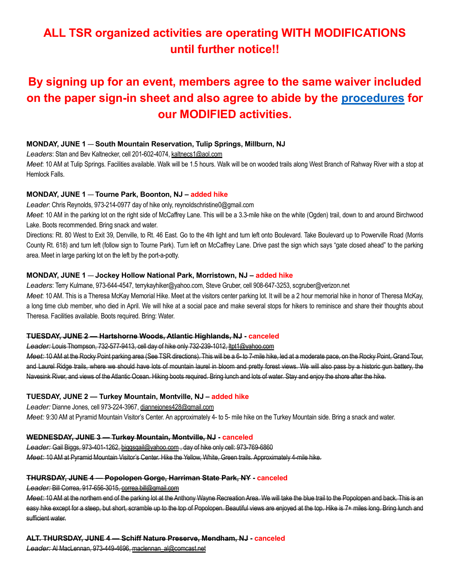### ALL TSR organized activities are operating WITH MODIFICATIONS until further notice!!

## By signing up for an event, members agree to the same waiver included on the paper sign-in sheet and also agree to abide by the procedures for our MODIFIED activities.

#### MONDAY, JUNE 1 — South Mountain Reservation, Tulip Springs, Millburn, NJ

Leaders: Stan and Bev Kaltnecker, cell 201-602-4074, kaltnecs1@aol.com

Meet: 10 AM at Tulip Springs. Facilities available. Walk will be 1.5 hours. Walk will be on wooded trails along West Branch of Rahway River with a stop at Hemlock Falls.

#### MONDAY, JUNE 1 — Tourne Park, Boonton, NJ – added hike

Leader: Chris Reynolds, 973-214-0977 day of hike only, reynoldschristine0@gmail.com

Meet: 10 AM in the parking lot on the right side of McCaffrey Lane. This will be a 3.3-mile hike on the white (Ogden) trail, down to and around Birchwood Lake. Boots recommended. Bring snack and water.

Directions: Rt. 80 West to Exit 39, Denville, to Rt. 46 East. Go to the 4th light and turn left onto Boulevard. Take Boulevard up to Powerville Road (Morris County Rt. 618) and turn left (follow sign to Tourne Park). Turn left on McCaffrey Lane. Drive past the sign which says "gate closed ahead" to the parking area. Meet in large parking lot on the left by the port-a-potty.

#### MONDAY, JUNE 1 — Jockey Hollow National Park, Morristown, NJ – added hike

Leaders: Terry Kulmane, 973-644-4547, terrykayhiker@yahoo.com, Steve Gruber, cell 908-647-3253, scgruber@verizon.net

Meet: 10 AM. This is a Theresa McKay Memorial Hike. Meet at the visitors center parking lot. It will be a 2 hour memorial hike in honor of Theresa McKay, a long time club member, who died in April. We will hike at a social pace and make several stops for hikers to reminisce and share their thoughts about Theresa. Facilities available. Boots required. Bring: Water.

#### TUESDAY, JUNE 2 — Hartshorne Woods, Atlantic Highlands, NJ - canceled

Leader: Louis Thompson, 732-577-9413, cell day of hike only 732-239-1012, ltpt1@yahoo.com

Meet: 10 AM at the Rocky Point parking area (See TSR directions). This will be a 6- to 7-mile hike, led at a moderate pace, on the Rocky Point, Grand Tour, and Laurel Ridge trails, where we should have lots of mountain laurel in bloom and pretty forest views. We will also pass by a historic gun battery, the Navesink River, and views of the Atlantic Ocean. Hiking boots required. Bring lunch and lots of water. Stay and enjoy the shore after the hike.

#### TUESDAY, JUNE 2 — Turkey Mountain, Montville, NJ – added hike

Leader: Dianne Jones, cell 973-224-3967, diannejones428@gmail.com Meet: 9:30 AM at Pyramid Mountain Visitor's Center. An approximately 4- to 5- mile hike on the Turkey Mountain side. Bring a snack and water.

#### WEDNESDAY, JUNE 3 — Turkey Mountain, Montville, NJ - canceled

Leader: Gail Biggs, 973-401-1262, biggsgail@yahoo.com , day of hike only cell: 973-769-6860 Meet: 10 AM at Pyramid Mountain Visitor's Center. Hike the Yellow, White, Green trails. Approximately 4-mile hike.

#### THURSDAY, JUNE 4 — Popolopen Gorge, Harriman State Park, NY - canceled

Leader: Bill Correa, 917-656-3015, correa.bill@gmail.com

Meet: 10 AM at the northern end of the parking lot at the Anthony Wayne Recreation Area. We will take the blue trail to the Popolopen and back. This is an easy hike except for a steep, but short, scramble up to the top of Popolopen. Beautiful views are enjoyed at the top. Hike is 7+ miles long. Bring lunch and sufficient water.

#### ALT. THURSDAY, JUNE 4 — Schiff Nature Preserve, Mendham, NJ - canceled

Leader: Al MacLennan, 973-449-4696, maclennan\_al@comcast.net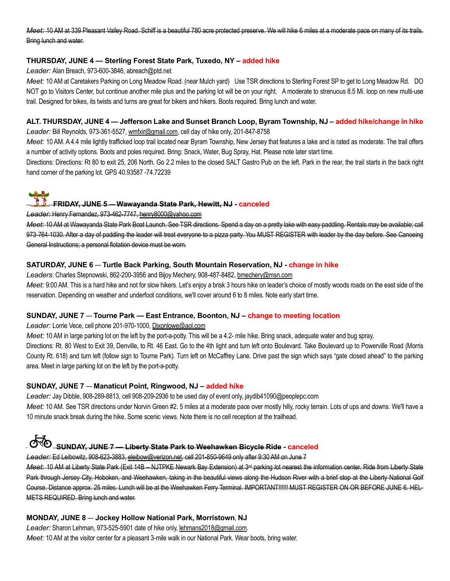Meet: 10 AM at 339 Pleasant Valley Road. Schiff is a beautiful 780 acre protected preserve. We will hike 6 miles at a moderate pace on many of its trails. Bring lunch and water.

#### THURSDAY, JUNE 4 — Sterling Forest State Park, Tuxedo, NY – added hike

Leader: Alan Breach, 973-600-3846, abreach@ptd.net

Meet: 10 AM at Caretakers Parking on Long Meadow Road. (near Mulch yard) Use TSR directions to Sterling Forest SP to get to Long Meadow Rd. DO NOT go to Visitors Center, but continue another mile plus and the parking lot will be on your right. A moderate to strenuous 8.5 Mi. loop on new multi-use trail. Designed for bikes, its twists and turns are great for bikers and hikers. Boots required. Bring lunch and water.

#### ALT. THURSDAY, JUNE 4 — Jefferson Lake and Sunset Branch Loop, Byram Township, NJ – added hike/change in hike

Leader: Bill Reynolds, 973-361-5527, wmfxir@gmail.com, cell day of hike only, 201-847-8758

Meet: 10 AM. A 4.4 mile lightly trafficked loop trail located near Byram Township, New Jersey that features a lake and is rated as moderate. The trail offers a number of activity options. Boots and poles required. Bring: Snack, Water, Bug Spray, Hat. Please note later start time.

Directions: Directions: Rt 80 to exit 25, 206 North. Go 2.2 miles to the closed SALT Gastro Pub on the left. Park in the rear, the trail starts in the back right hand corner of the parking lot. GPS 40.93587 -74.72239

# FRIDAY, JUNE 5 — Wawayanda State Park, Hewitt, NJ - canceled

#### Leader: Henry Fernandez, 973-462-7747, henry8000@yahoo.com

Meet: 10 AM at Wawayanda State Park Boat Launch. See TSR directions. Spend a day on a pretty lake with easy paddling. Rentals may be available; call 973-764-1030. After a day of paddling the leader will treat everyone to a pizza party. You MUST REGISTER with leader by the day before. See Canoeing General Instructions; a personal flotation device must be worn.

#### SATURDAY, JUNE 6 - Turtle Back Parking, South Mountain Reservation, NJ - change in hike

Leaders: Charles Stepnowski, 862-200-3956 and Bijoy Mechery, 908-487-8482, bmechery@msn.com

Meet: 9:00 AM. This is a hard hike and not for slow hikers. Let's enjoy a brisk 3 hours hike on leader's choice of mostly woods roads on the east side of the reservation. Depending on weather and underfoot conditions, we'll cover around 6 to 8 miles. Note early start time.

#### SUNDAY, JUNE 7 — Tourne Park — East Entrance, Boonton, NJ – change to meeting location

#### Leader: Lorrie Vece, cell phone 201-970-1000, Dixonlowe@aol.com

Meet: 10 AM in large parking lot on the left by the port-a-potty. This will be a 4.2- mile hike. Bring snack, adequate water and bug spray. Directions: Rt. 80 West to Exit 39, Denville, to Rt. 46 East. Go to the 4th light and turn left onto Boulevard. Take Boulevard up to Powerville Road (Morris County Rt. 618) and turn left (follow sign to Tourne Park). Turn left on McCaffrey Lane. Drive past the sign which says "gate closed ahead" to the parking area. Meet in large parking lot on the left by the port-a-potty.

#### SUNDAY, JUNE 7 — Manaticut Point, Ringwood, NJ – added hike

Leader: Jay Dibble, 908-289-8813, cell 908-209-2936 to be used day of event only, jaydib41090@peoplepc.com

Meet: 10 AM. See TSR directions under Norvin Green #2. 5 miles at a moderate pace over mostly hilly, rocky terrain. Lots of ups and downs. We'll have a 10 minute snack break during the hike. Some scenic views. Note there is no cell reception at the trailhead.

## SUNDAY, JUNE 7 — Liberty State Park to Weehawken Bicycle Ride - canceled

Leader: Ed Leibowitz, 908-623-3883, eleibow@verizon.net, cell 201-850-9649 only after 9:30 AM on June 7

Meet: 10 AM at Liberty State Park (Exit 14B – NJTPKE Newark Bay Extension) at 3<sup>rd</sup> parking lot nearest the information center. Ride from Liberty State Park through Jersey City, Hoboken, and Weehawken, taking in the beautiful views along the Hudson River with a brief stop at the Liberty National Golf Course. Distance approx. 25 miles. Lunch will be at the Weehawken Ferry Terminal. IMPORTANT!!!!!! MUST REGISTER ON OR BEFORE JUNE 6. HEL-METS REQUIRED. Bring lunch and water.

#### MONDAY, JUNE 8 — Jockey Hollow National Park, Morristown, NJ

Leader: Sharon Lehman, 973-525-5901 date of hike only, lehmans2018@gmail.com.

Meet: 10 AM at the visitor center for a pleasant 3-mile walk in our National Park. Wear boots, bring water.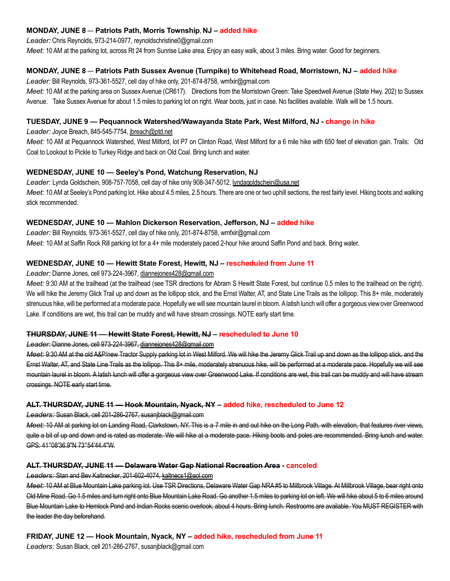#### MONDAY, JUNE 8 — Patriots Path, Morris Township, NJ – added hike

Leader: Chris Reynolds, 973-214-0977, reynoldschristine0@gmail.com

Meet: 10 AM at the parking lot, across Rt 24 from Sunrise Lake area. Enjoy an easy walk, about 3 miles. Bring water. Good for beginners.

#### MONDAY, JUNE 8 — Patriots Path Sussex Avenue (Turnpike) to Whitehead Road, Morristown, NJ – added hike

Leader: Bill Reynolds, 973-361-5527, cell day of hike only, 201-874-8758, wmfxir@gmail.com

Meet: 10 AM at the parking area on Sussex Avenue (CR617). Directions from the Morristown Green: Take Speedwell Avenue (State Hwy. 202) to Sussex Avenue. Take Sussex Avenue for about 1.5 miles to parking lot on right. Wear boots, just in case. No facilities available. Walk will be 1.5 hours.

#### TUESDAY, JUNE 9 — Pequannock Watershed/Wawayanda State Park, West Milford, NJ - change in hike

Leader: Joyce Breach, 845-545-7754, jbreach@ptd.net

Meet: 10 AM at Pequannock Watershed, West Milford, lot P7 on Clinton Road, West Milford for a 6 mile hike with 650 feet of elevation gain. Trails: Old Coal to Lookout to Pickle to Turkey Ridge and back on Old Coal. Bring lunch and water.

#### WEDNESDAY, JUNE 10 — Seeley's Pond, Watchung Reservation, NJ

Leader: Lynda Goldschein, 908-757-7058, cell day of hike only 908-347-5012, lyndagoldschein@usa.net Meet: 10 AM at Seeley's Pond parking lot. Hike about 4.5 miles, 2.5 hours. There are one or two uphill sections, the rest fairly level. Hiking boots and walking stick recommended.

#### WEDNESDAY, JUNE 10 — Mahlon Dickerson Reservation, Jefferson, NJ – added hike

Leader: Bill Reynolds, 973-361-5527, cell day of hike only, 201-874-8758, wmfxir@gmail.com Meet: 10 AM at Saffin Rock Rill parking lot for a 4+ mile moderately paced 2-hour hike around Saffin Pond and back. Bring water.

#### WEDNESDAY, JUNE 10 — Hewitt State Forest, Hewitt, NJ – rescheduled from June 11

#### Leader: Dianne Jones, cell 973-224-3967, diannejones428@gmail.com

Meet: 9:30 AM at the trailhead (at the trailhead (see TSR directions for Abram S Hewitt State Forest, but continue 0.5 miles to the trailhead on the right). We will hike the Jeremy Glick Trail up and down as the lollipop stick, and the Ernst Walter, AT, and State Line Trails as the lollipop. This 8+ mile, moderately strenuous hike, will be performed at a moderate pace. Hopefully we will see mountain laurel in bloom. A latish lunch will offer a gorgeous view over Greenwood Lake. If conditions are wet, this trail can be muddy and will have stream crossings. NOTE early start time.

#### THURSDAY, JUNE 11 — Hewitt State Forest, Hewitt, NJ – rescheduled to June 10

#### Leader: Dianne Jones, cell 973-224-3967, diannejones428@gmail.com

Meet: 9:30 AM at the old A&P/new Tractor Supply parking lot in West Milford. We will hike the Jeremy Glick Trail up and down as the lollipop stick, and the Ernst Walter, AT, and State Line Trails as the lollipop. This 8+ mile, moderately strenuous hike, will be performed at a moderate pace. Hopefully we will see mountain laurel in bloom. A latish lunch will offer a gorgeous view over Greenwood Lake. If conditions are wet, this trail can be muddy and will have stream crossings. NOTE early start time.

#### ALT. THURSDAY, JUNE 11 — Hook Mountain, Nyack, NY – added hike, rescheduled to June 12

Leaders: Susan Black, cell 201-286-2767, susanjblack@gmail.com

Meet: 10 AM at parking lot on Landing Road, Clarkstown, NY. This is a 7 mile in and out hike on the Long Path, with elevation, that features river views, quite a bit of up and down and is rated as moderate. We will hike at a moderate pace. Hiking boots and poles are recommended. Bring lunch and water. GPS: 41°08'36.9"N 73°54'44.4"W.

#### ALT. THURSDAY, JUNE 11 — Delaware Water Gap National Recreation Area - canceled

#### Leaders: Stan and Bev Kaltnecker, 201-602-4074, kaltnecs1@aol.com

Meet: 10 AM at Blue Mountain Lake parking lot. Use TSR Directions, Delaware Water Gap NRA #5 to Millbrook Village. At Millbrook Village, bear right onto Old Mine Road. Go 1.5 miles and turn right onto Blue Mountain Lake Road. Go another 1.5 miles to parking lot on left. We will hike about 5 to 6 miles around Blue Mountain Lake to Hemlock Pond and Indian Rocks scenic overlook, about 4 hours. Bring lunch. Restrooms are available. You MUST REGISTER with the leader the day beforehand.

#### FRIDAY, JUNE 12 — Hook Mountain, Nyack, NY – added hike, rescheduled from June 11

Leaders: Susan Black, cell 201-286-2767, susanjblack@gmail.com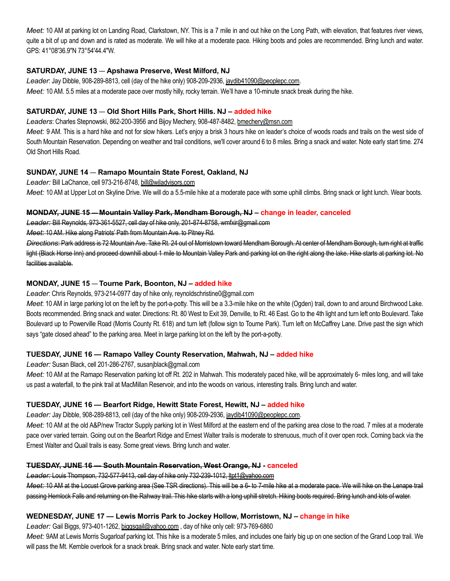Meet: 10 AM at parking lot on Landing Road, Clarkstown, NY. This is a 7 mile in and out hike on the Long Path, with elevation, that features river views, quite a bit of up and down and is rated as moderate. We will hike at a moderate pace. Hiking boots and poles are recommended. Bring lunch and water. GPS: 41°08'36.9"N 73°54'44.4"W.

#### SATURDAY, JUNE 13 — Apshawa Preserve, West Milford, NJ

Leader: Jay Dibble, 908-289-8813, cell (day of the hike only) 908-209-2936, jaydib41090@peoplepc.com. Meet: 10 AM. 5.5 miles at a moderate pace over mostly hilly, rocky terrain. We'll have a 10-minute snack break during the hike.

#### SATURDAY, JUNE 13 — Old Short Hills Park, Short Hills. NJ – added hike

Leaders: Charles Stepnowski, 862-200-3956 and Bijoy Mechery, 908-487-8482, bmechery@msn.com

Meet: 9 AM. This is a hard hike and not for slow hikers. Let's enjoy a brisk 3 hours hike on leader's choice of woods roads and trails on the west side of South Mountain Reservation. Depending on weather and trail conditions, we'll cover around 6 to 8 miles. Bring a snack and water. Note early start time. 274 Old Short Hills Road.

#### SUNDAY, JUNE 14 — Ramapo Mountain State Forest, Oakland, NJ

Leader: Bill LaChance, cell 973-216-8748, bill@wiladvisors.com Meet: 10 AM at Upper Lot on Skyline Drive. We will do a 5.5-mile hike at a moderate pace with some uphill climbs. Bring snack or light lunch. Wear boots.

#### MONDAY, JUNE 15 — Mountain Valley Park, Mendham Borough, NJ – change in leader, canceled

Leader: Bill Reynolds, 973-361-5527, cell day of hike only, 201-874-8758, wmfxir@gmail.com

Meet: 10 AM. Hike along Patriots' Path from Mountain Ave. to Pitney Rd.

Directions: Park address is 72 Mountain Ave. Take Rt. 24 out of Morristown toward Mendham Borough. At center of Mendham Borough, turn right at traffic light (Black Horse Inn) and proceed downhill about 1 mile to Mountain Valley Park and parking lot on the right along the lake. Hike starts at parking lot. No facilities available.

#### MONDAY, JUNE 15 — Tourne Park, Boonton, NJ – added hike

#### Leader: Chris Reynolds, 973-214-0977 day of hike only, reynoldschristine0@gmail.com

Meet: 10 AM in large parking lot on the left by the port-a-potty. This will be a 3.3-mile hike on the white (Ogden) trail, down to and around Birchwood Lake. Boots recommended. Bring snack and water. Directions: Rt. 80 West to Exit 39, Denville, to Rt. 46 East. Go to the 4th light and turn left onto Boulevard. Take Boulevard up to Powerville Road (Morris County Rt. 618) and turn left (follow sign to Tourne Park). Turn left on McCaffrey Lane. Drive past the sign which says "gate closed ahead" to the parking area. Meet in large parking lot on the left by the port-a-potty.

#### TUESDAY, JUNE 16 — Ramapo Valley County Reservation, Mahwah, NJ – added hike

Leader: Susan Black, cell 201-286-2767, susanjblack@gmail.com

Meet: 10 AM at the Ramapo Reservation parking lot off Rt. 202 in Mahwah. This moderately paced hike, will be approximately 6- miles long, and will take us past a waterfall, to the pink trail at MacMillan Reservoir, and into the woods on various, interesting trails. Bring lunch and water.

#### TUESDAY, JUNE 16 — Bearfort Ridge, Hewitt State Forest, Hewitt, NJ – added hike

Leader: Jay Dibble, 908-289-8813, cell (day of the hike only) 908-209-2936, jaydib41090@peoplepc.com.

Meet: 10 AM at the old A&P/new Tractor Supply parking lot in West Milford at the eastern end of the parking area close to the road. 7 miles at a moderate pace over varied terrain. Going out on the Bearfort Ridge and Ernest Walter trails is moderate to strenuous, much of it over open rock. Coming back via the Ernest Walter and Quail trails is easy. Some great views. Bring lunch and water.

#### TUESDAY, JUNE 16 — South Mountain Reservation, West Orange, NJ - canceled

Leader: Louis Thompson, 732-577-9413, cell day of hike only 732-239-1012, ltpt1@yahoo.com

Meet: 10 AM at the Locust Grove parking area (See TSR directions). This will be a 6- to 7-mile hike at a moderate pace. We will hike on the Lenape trail passing Hemlock Falls and returning on the Rahway trail. This hike starts with a long uphill stretch. Hiking boots required. Bring lunch and lots of water.

#### WEDNESDAY, JUNE 17 — Lewis Morris Park to Jockey Hollow, Morristown, NJ – change in hike

Leader: Gail Biggs, 973-401-1262, biggsgail@yahoo.com , day of hike only cell: 973-769-6860

Meet: 9AM at Lewis Morris Sugarloaf parking lot. This hike is a moderate 5 miles, and includes one fairly big up on one section of the Grand Loop trail. We will pass the Mt. Kemble overlook for a snack break. Bring snack and water. Note early start time.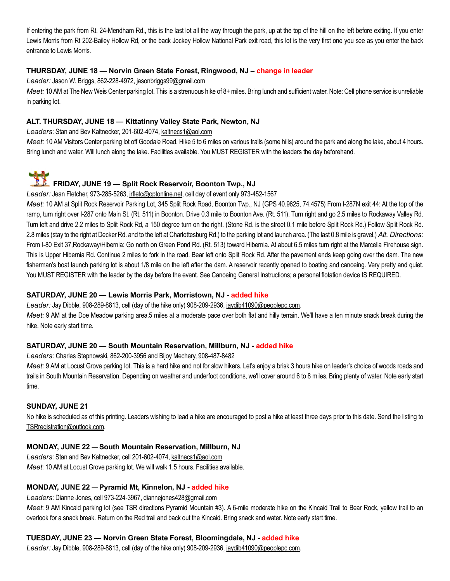If entering the park from Rt. 24-Mendham Rd., this is the last lot all the way through the park, up at the top of the hill on the left before exiting. If you enter Lewis Morris from Rt 202-Bailey Hollow Rd, or the back Jockey Hollow National Park exit road, this lot is the very first one you see as you enter the back entrance to Lewis Morris.

#### THURSDAY, JUNE 18 — Norvin Green State Forest, Ringwood, NJ – change in leader

Leader: Jason W. Briggs, 862-228-4972, jasonbriggs99@gmail.com

Meet: 10 AM at The New Weis Center parking lot. This is a strenuous hike of 8+ miles. Bring lunch and sufficient water. Note: Cell phone service is unreliable in parking lot.

#### ALT. THURSDAY, JUNE 18 — Kittatinny Valley State Park, Newton, NJ

Leaders: Stan and Bev Kaltnecker, 201-602-4074, kaltnecs1@aol.com

Meet: 10 AM Visitors Center parking lot off Goodale Road. Hike 5 to 6 miles on various trails (some hills) around the park and along the lake, about 4 hours. Bring lunch and water. Will lunch along the lake. Facilities available. You MUST REGISTER with the leaders the day beforehand.



## FRIDAY, JUNE 19 — Split Rock Reservoir, Boonton Twp., NJ

Leader: Jean Fletcher, 973-285-5263, irfletc@optonline.net, cell day of event only 973-452-1567

Meet: 10 AM at Split Rock Reservoir Parking Lot, 345 Split Rock Road, Boonton Twp., NJ (GPS 40.9625, 74.4575) From I-287N exit 44: At the top of the ramp, turn right over I-287 onto Main St. (Rt. 511) in Boonton. Drive 0.3 mile to Boonton Ave. (Rt. 511). Turn right and go 2.5 miles to Rockaway Valley Rd. Turn left and drive 2.2 miles to Split Rock Rd, a 150 degree turn on the right. (Stone Rd. is the street 0.1 mile before Split Rock Rd.) Follow Split Rock Rd. 2.8 miles (stay to the right at Decker Rd. and to the left at Charlottesburg Rd.) to the parking lot and launch area. (The last 0.8 mile is gravel.) Alt. Directions: From I-80 Exit 37,Rockaway/Hibernia: Go north on Green Pond Rd. (Rt. 513) toward Hibernia. At about 6.5 miles turn right at the Marcella Firehouse sign. This is Upper Hibernia Rd. Continue 2 miles to fork in the road. Bear left onto Split Rock Rd. After the pavement ends keep going over the dam. The new fisherman's boat launch parking lot is about 1/8 mile on the left after the dam. A reservoir recently opened to boating and canoeing. Very pretty and quiet. You MUST REGISTER with the leader by the day before the event. See Canoeing General Instructions; a personal flotation device IS REQUIRED.

#### SATURDAY, JUNE 20 — Lewis Morris Park, Morristown, NJ - added hike

Leader: Jay Dibble, 908-289-8813, cell (day of the hike only) 908-209-2936, jaydib41090@peoplepc.com. Meet: 9 AM at the Doe Meadow parking area.5 miles at a moderate pace over both flat and hilly terrain. We'll have a ten minute snack break during the hike. Note early start time.

#### SATURDAY, JUNE 20 — South Mountain Reservation, Millburn, NJ - added hike

Leaders: Charles Stepnowski, 862-200-3956 and Bijoy Mechery, 908-487-8482

Meet: 9 AM at Locust Grove parking lot. This is a hard hike and not for slow hikers. Let's enjoy a brisk 3 hours hike on leader's choice of woods roads and trails in South Mountain Reservation. Depending on weather and underfoot conditions, we'll cover around 6 to 8 miles. Bring plenty of water. Note early start time.

#### SUNDAY, JUNE 21

No hike is scheduled as of this printing. Leaders wishing to lead a hike are encouraged to post a hike at least three days prior to this date. Send the listing to TSRregistration@outlook.com.

#### MONDAY, JUNE 22 — South Mountain Reservation, Millburn, NJ

Leaders: Stan and Bev Kaltnecker, cell 201-602-4074, kaltnecs1@aol.com Meet: 10 AM at Locust Grove parking lot. We will walk 1.5 hours. Facilities available.

#### MONDAY, JUNE 22 — Pyramid Mt, Kinnelon, NJ - added hike

Leaders: Dianne Jones, cell 973-224-3967, diannejones428@gmail.com

Meet. 9 AM Kincaid parking lot (see TSR directions Pyramid Mountain #3). A 6-mile moderate hike on the Kincaid Trail to Bear Rock, yellow trail to an overlook for a snack break. Return on the Red trail and back out the Kincaid. Bring snack and water. Note early start time.

#### TUESDAY, JUNE 23 — Norvin Green State Forest, Bloomingdale, NJ - added hike

Leader: Jay Dibble, 908-289-8813, cell (day of the hike only) 908-209-2936, jaydib41090@peoplepc.com.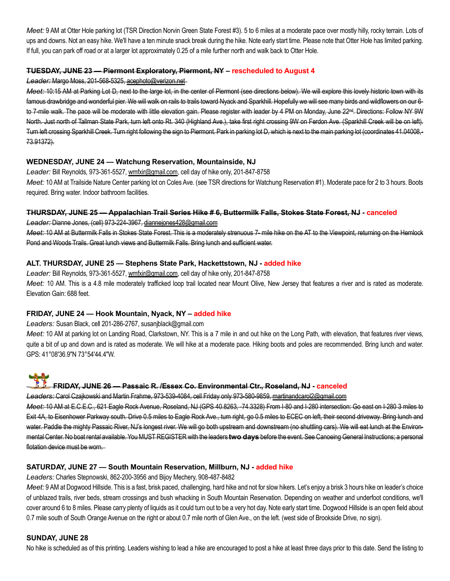Meet: 9 AM at Otter Hole parking lot (TSR Direction Norvin Green State Forest #3). 5 to 6 miles at a moderate pace over mostly hilly, rocky terrain. Lots of ups and downs. Not an easy hike. We'll have a ten minute snack break during the hike. Note early start time. Please note that Otter Hole has limited parking. If full, you can park off road or at a larger lot approximately 0.25 of a mile further north and walk back to Otter Hole.

#### TUESDAY, JUNE 23 — Piermont Exploratory, Piermont, NY – rescheduled to August 4

Leader: Margo Moss, 201-568-5325, acephoto@verizon.net

Meet: 10:15 AM at Parking Lot D, next to the large lot, in the center of Piermont (see directions below). We will explore this lovely historic town with its famous drawbridge and wonderful pier. We will walk on rails to trails toward Nyack and Sparkhill. Hopefully we will see many birds and wildflowers on our 6to 7-mile walk. The pace will be moderate with little elevation gain. Please register with leader by 4 PM on Monday, June 22<sup>nd</sup>. Directions: Follow NY 9W North. Just north of Tallman State Park, turn left onto Rt. 340 (Highland Ave.), take first right crossing 9W on Ferdon Ave. (Sparkhill Creek will be on left). Turn left crossing Sparkhill Creek. Turn right following the sign to Piermont. Park in parking lot D, which is next to the main parking lot (coordinates 41.04008,-73.91372).

#### WEDNESDAY, JUNE 24 — Watchung Reservation, Mountainside, NJ

Leader: Bill Reynolds, 973-361-5527, wmfxir@gmail.com, cell day of hike only, 201-847-8758

Meet: 10 AM at Trailside Nature Center parking lot on Coles Ave. (see TSR directions for Watchung Reservation #1). Moderate pace for 2 to 3 hours. Boots required. Bring water. Indoor bathroom facilities.

#### THURSDAY, JUNE 25 — Appalachian Trail Series Hike # 6, Buttermilk Falls, Stokes State Forest, NJ - canceled

Leader: Dianne Jones, (cell) 973-224-3967, diannejones428@gmail.com

Meet: 10 AM at Buttermilk Falls in Stokes State Forest. This is a moderately strenuous 7- mile hike on the AT to the Viewpoint, returning on the Hemlock Pond and Woods Trails. Great lunch views and Buttermilk Falls. Bring lunch and sufficient water.

#### ALT. THURSDAY, JUNE 25 — Stephens State Park, Hackettstown, NJ - added hike

Leader: Bill Reynolds, 973-361-5527, wmfxir@gmail.com, cell day of hike only, 201-847-8758 Meet: 10 AM. This is a 4.8 mile moderately trafficked loop trail located near Mount Olive, New Jersey that features a river and is rated as moderate. Elevation Gain: 688 feet.

#### FRIDAY, JUNE 24 — Hook Mountain, Nyack, NY – added hike

Leaders: Susan Black, cell 201-286-2767, susanjblack@gmail.com

Meet: 10 AM at parking lot on Landing Road, Clarkstown, NY. This is a 7 mile in and out hike on the Long Path, with elevation, that features river views, quite a bit of up and down and is rated as moderate. We will hike at a moderate pace. Hiking boots and poles are recommended. Bring lunch and water. GPS: 41°08'36.9"N 73°54'44.4"W.

# FRIDAY, JUNE 26 — Passaic R. /Essex Co. Environmental Ctr., Roseland, NJ - canceled

Leaders: Carol Czajkowski and Martin Frahme, 973-539-4084, cell Friday only 973-580-9859, martinandcarol2@gmail.com Meet: 10 AM at E.C.E.C., 621 Eagle Rock Avenue, Roseland, NJ (GPS 40.8263, -74.3328) From I-80 and I-280 intersection: Go east on I-280 3 miles to Exit 4A, to Eisenhower Parkway south. Drive 0.5 miles to Eagle Rock Ave., turn right, go 0.5 miles to ECEC on left, their second driveway. Bring lunch and water. Paddle the mighty Passaic River, NJ's longest river. We will go both upstream and downstream (no shuttling cars). We will eat lunch at the Environmental Center. No boat rental available. You MUST REGISTER with the leaders two days before the event. See Canoeing General Instructions; a personal

flotation device must be worn.

#### SATURDAY, JUNE 27 — South Mountain Reservation, Millburn, NJ - added hike

Leaders: Charles Stepnowski, 862-200-3956 and Bijoy Mechery, 908-487-8482

Meet: 9 AM at Dogwood Hillside. This is a fast, brisk paced, challenging, hard hike and not for slow hikers. Let's enjoy a brisk 3 hours hike on leader's choice of unblazed trails, river beds, stream crossings and bush whacking in South Mountain Reservation. Depending on weather and underfoot conditions, we'll cover around 6 to 8 miles. Please carry plenty of liquids as it could turn out to be a very hot day. Note early start time. Dogwood Hillside is an open field about 0.7 mile south of South Orange Avenue on the right or about 0.7 mile north of Glen Ave., on the left. (west side of Brookside Drive, no sign).

#### SUNDAY, JUNE 28

No hike is scheduled as of this printing. Leaders wishing to lead a hike are encouraged to post a hike at least three days prior to this date. Send the listing to